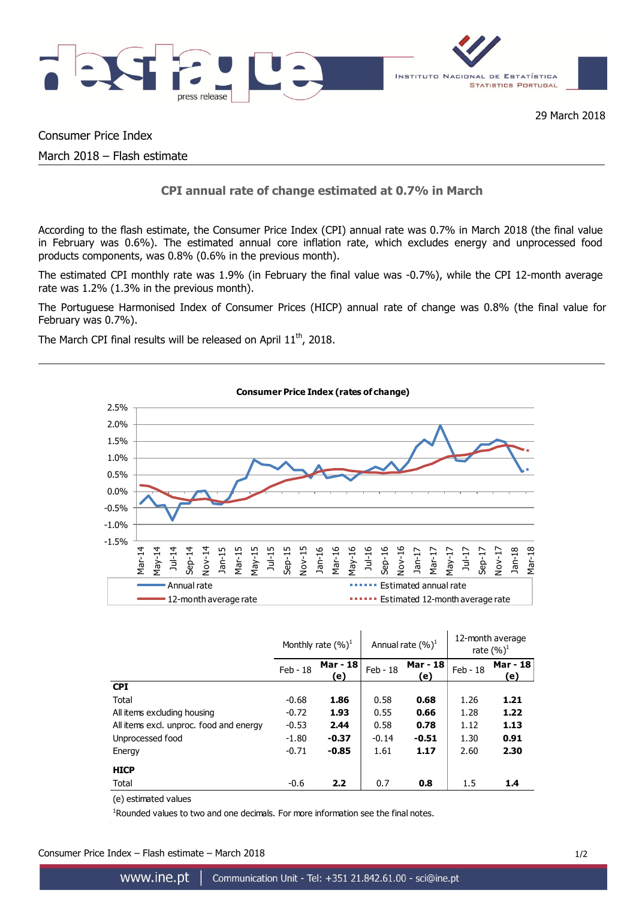

# Consumer Price Index

March 2018 – Flash estimate

# **CPI annual rate of change estimated at 0.7% in March**

According to the flash estimate, the Consumer Price Index (CPI) annual rate was 0.7% in March 2018 (the final value in February was 0.6%). The estimated annual core inflation rate, which excludes energy and unprocessed food products components, was 0.8% (0.6% in the previous month).

The estimated CPI monthly rate was 1.9% (in February the final value was -0.7%), while the CPI 12-month average rate was 1.2% (1.3% in the previous month).

The Portuguese Harmonised Index of Consumer Prices (HICP) annual rate of change was 0.8% (the final value for February was 0.7%).

The March CPI final results will be released on April  $11<sup>th</sup>$ , 2018.



|                                         | Monthly rate $(\%)^1$ |                 | Annual rate $(\%)^1$ |                 | 12-month average<br>rate $(\%)^1$ |                 |
|-----------------------------------------|-----------------------|-----------------|----------------------|-----------------|-----------------------------------|-----------------|
|                                         | $Feb - 18$            | Mar - 18<br>(e) | Feb - 18             | Mar - 18<br>(e) | Feb - 18                          | Mar - 18<br>(e) |
| <b>CPI</b>                              |                       |                 |                      |                 |                                   |                 |
| Total                                   | $-0.68$               | 1.86            | 0.58                 | 0.68            | 1.26                              | 1.21            |
| All items excluding housing             | $-0.72$               | 1.93            | 0.55                 | 0.66            | 1.28                              | 1.22            |
| All items excl. unproc. food and energy | $-0.53$               | 2.44            | 0.58                 | 0.78            | 1.12                              | 1.13            |
| Unprocessed food                        | $-1.80$               | $-0.37$         | $-0.14$              | $-0.51$         | 1.30                              | 0.91            |
| Energy                                  | $-0.71$               | $-0.85$         | 1.61                 | 1.17            | 2.60                              | 2.30            |
| <b>HICP</b>                             |                       |                 |                      |                 |                                   |                 |
| Total                                   | $-0.6$                | 2.2             | 0.7                  | 0.8             | 1.5                               | 1.4             |

(e) estimated values

<sup>1</sup>Rounded values to two and one decimals. For more information see the final notes.

Consumer Price Index – Flash estimate – March 2018 1/2